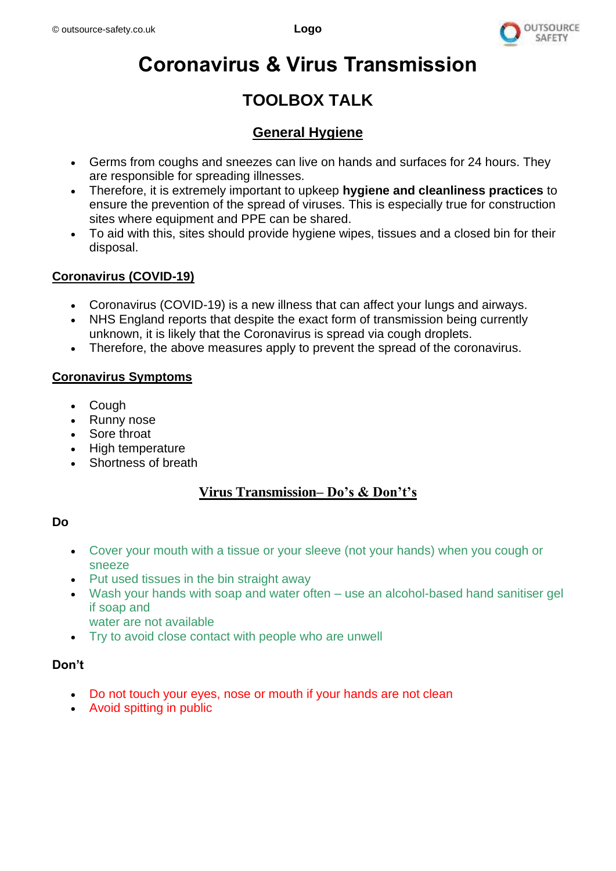

# **Coronavirus & Virus Transmission**

## **TOOLBOX TALK**

### **General Hygiene**

- Germs from coughs and sneezes can live on hands and surfaces for 24 hours. They are responsible for spreading illnesses.
- Therefore, it is extremely important to upkeep **hygiene and cleanliness practices** to ensure the prevention of the spread of viruses. This is especially true for construction sites where equipment and PPE can be shared.
- To aid with this, sites should provide hygiene wipes, tissues and a closed bin for their disposal.

#### **Coronavirus (COVID-19)**

- Coronavirus (COVID-19) is a new illness that can affect your lungs and airways.
- NHS England reports that despite the exact form of transmission being currently unknown, it is likely that the Coronavirus is spread via cough droplets.
- Therefore, the above measures apply to prevent the spread of the coronavirus.

#### **Coronavirus Symptoms**

- **Cough**
- Runny nose
- Sore throat
- High temperature
- Shortness of breath

#### **Virus Transmission– Do's & Don't's**

#### **Do**

- Cover your mouth with a tissue or your sleeve (not your hands) when you cough or sneeze
- Put used tissues in the bin straight away
- Wash your hands with soap and water often use an alcohol-based hand sanitiser gel if soap and
	- water are not available
- Try to avoid close contact with people who are unwell

#### **Don't**

- Do not touch your eyes, nose or mouth if your hands are not clean
- Avoid spitting in public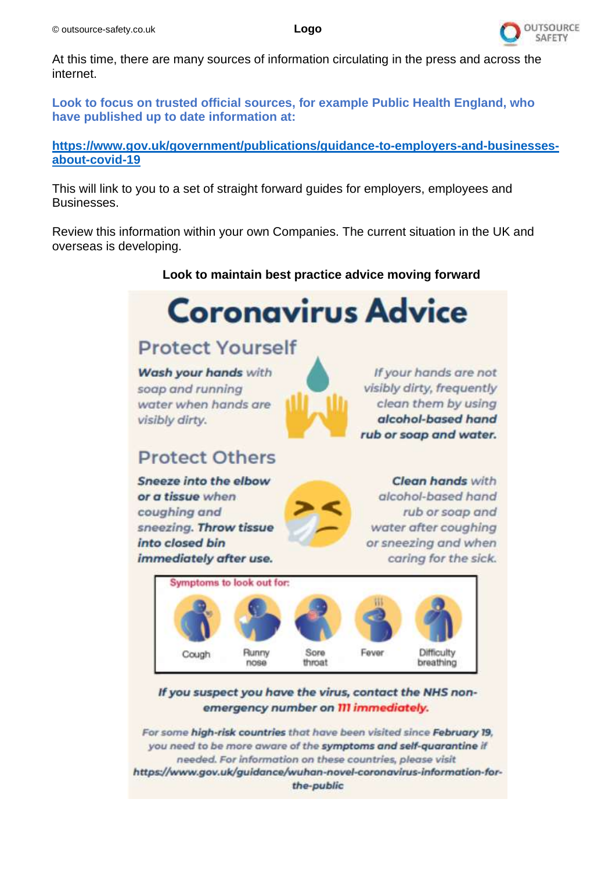

At this time, there are many sources of information circulating in the press and across the internet.

**Look to focus on trusted official sources, for example Public Health England, who have published up to date information at:**

#### **[https://www.gov.uk/government/publications/guidance-to-employers-and-businesses](https://www.gov.uk/government/publications/guidance-to-employers-and-businesses-about-covid-19)[about-covid-19](https://www.gov.uk/government/publications/guidance-to-employers-and-businesses-about-covid-19)**

This will link to you to a set of straight forward guides for employers, employees and Businesses.

Review this information within your own Companies. The current situation in the UK and overseas is developing.

#### **Look to maintain best practice advice moving forward**



For some high-risk countries that have been visited since February 19. you need to be more aware of the symptoms and self-quarantine if needed. For information on these countries, please visit https://www.gov.uk/guidance/wuhan-novel-coronavirus-information-forthe-public